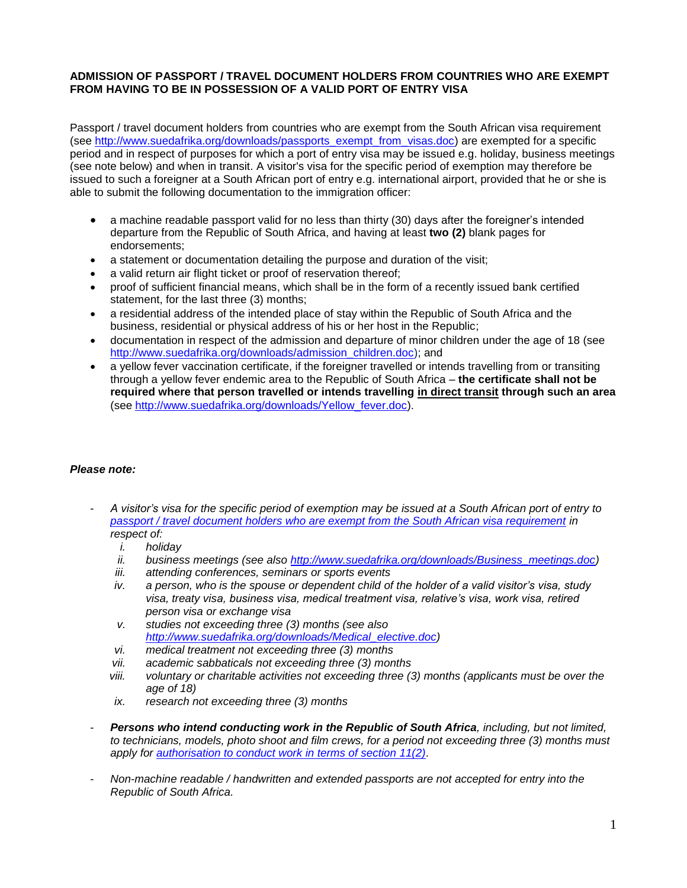## **ADMISSION OF PASSPORT / TRAVEL DOCUMENT HOLDERS FROM COUNTRIES WHO ARE EXEMPT FROM HAVING TO BE IN POSSESSION OF A VALID PORT OF ENTRY VISA**

Passport / travel document holders from countries who are exempt from the South African visa requirement (see [http://www.suedafrika.org/downloads/passports\\_exempt\\_from\\_visas.doc\)](http://www.suedafrika.org/downloads/passports_exempt_from_visas.doc) are exempted for a specific period and in respect of purposes for which a port of entry visa may be issued e.g. holiday, business meetings (see note below) and when in transit. A visitor's visa for the specific period of exemption may therefore be issued to such a foreigner at a South African port of entry e.g. international airport, provided that he or she is able to submit the following documentation to the immigration officer:

- a machine readable passport valid for no less than thirty (30) days after the foreigner's intended departure from the Republic of South Africa, and having at least **two (2)** blank pages for endorsements;
- a statement or documentation detailing the purpose and duration of the visit;
- a valid return air flight ticket or proof of reservation thereof;
- proof of sufficient financial means, which shall be in the form of a recently issued bank certified statement, for the last three (3) months;
- a residential address of the intended place of stay within the Republic of South Africa and the business, residential or physical address of his or her host in the Republic;
- documentation in respect of the admission and departure of minor children under the age of 18 (see [http://www.suedafrika.org/downloads/admission\\_children.doc\)](http://www.suedafrika.org/downloads/admission_children.doc); and
- a yellow fever vaccination certificate, if the foreigner travelled or intends travelling from or transiting through a yellow fever endemic area to the Republic of South Africa – **the certificate shall not be required where that person travelled or intends travelling in direct transit through such an area** (see [http://www.suedafrika.org/downloads/Yellow\\_fever.doc\)](http://www.suedafrika.org/downloads/Yellow_fever.doc).

## *Please note:*

- *A visitor's visa for the specific period of exemption may be issued at a South African port of entry to [passport / travel document holders who are exempt from the South African visa requirement](http://www.suedafrika.org/downloads/passports_exempt_from_visas.doc) in respect of:*
	- *i. holiday*
	- *ii. business meetings (see also [http://www.suedafrika.org/downloads/Business\\_meetings.doc\)](http://www.suedafrika.org/downloads/Business_meetings.doc)*
	- *iii. attending conferences, seminars or sports events*
	- *iv. a person, who is the spouse or dependent child of the holder of a valid visitor's visa, study visa, treaty visa, business visa, medical treatment visa, relative's visa, work visa, retired person visa or exchange visa*
	- *v. studies not exceeding three (3) months (see also [http://www.suedafrika.org/downloads/Medical\\_elective.doc\)](http://www.suedafrika.org/downloads/Medical_elective.doc)*
	- *vi. medical treatment not exceeding three (3) months*
	- *vii. academic sabbaticals not exceeding three (3) months*
	- *viii. voluntary or charitable activities not exceeding three (3) months (applicants must be over the age of 18)*
	- *ix. research not exceeding three (3) months*
- *Persons who intend conducting work in the Republic of South Africa, including, but not limited, to technicians, models, photo shoot and film crews, for a period not exceeding three (3) months must apply for authorisation [to conduct work in terms of section 11\(2\)](http://www.suedafrika.org/downloads/Authorisation_to_work_on_VP.doc)*.
- *Non-machine readable / handwritten and extended passports are not accepted for entry into the Republic of South Africa.*